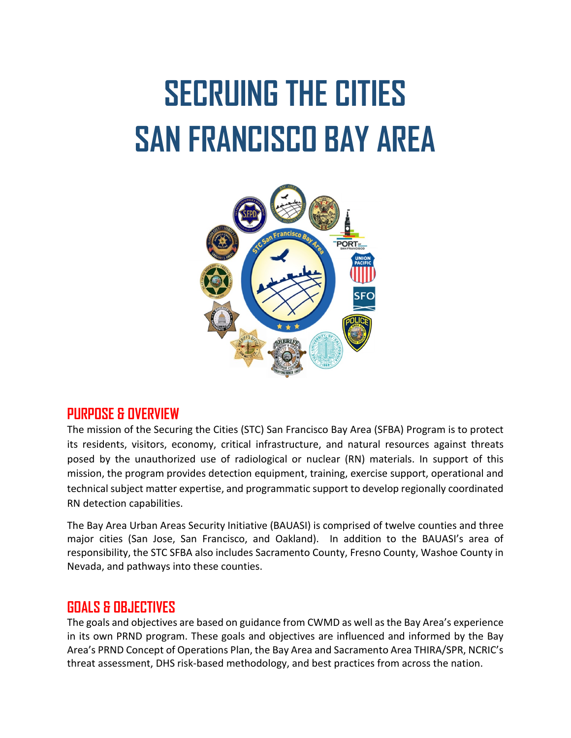# **SECRUING THE CITIES SAN FRANCISCO BAY AREA**



## **PURPOSE & OVERVIEW**

The mission of the Securing the Cities (STC) San Francisco Bay Area (SFBA) Program is to protect its residents, visitors, economy, critical infrastructure, and natural resources against threats posed by the unauthorized use of radiological or nuclear (RN) materials. In support of this mission, the program provides detection equipment, training, exercise support, operational and technical subject matter expertise, and programmatic support to develop regionally coordinated RN detection capabilities.

The Bay Area Urban Areas Security Initiative (BAUASI) is comprised of twelve counties and three major cities (San Jose, San Francisco, and Oakland). In addition to the BAUASI's area of responsibility, the STC SFBA also includes Sacramento County, Fresno County, Washoe County in Nevada, and pathways into these counties.

## **GOALS & OBJECTIVES**

The goals and objectives are based on guidance from CWMD as well as the Bay Area's experience in its own PRND program. These goals and objectives are influenced and informed by the Bay Area's PRND Concept of Operations Plan, the Bay Area and Sacramento Area THIRA/SPR, NCRIC's threat assessment, DHS risk-based methodology, and best practices from across the nation.